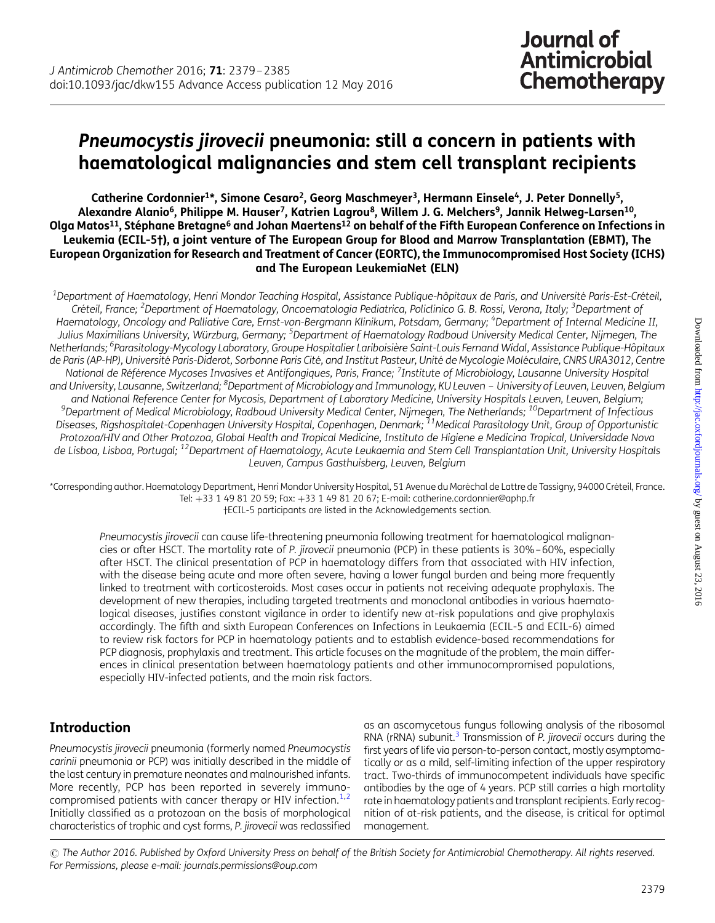# Pneumocystis jirovecii pneumonia: still a concern in patients with haematological malignancies and stem cell transplant recipients

Catherine Cordonnier<sup>1\*</sup>, Simone Cesaro<sup>2</sup>, Georg Maschmeyer<sup>3</sup>, Hermann Einsele<sup>4</sup>, J. Peter Donnelly<sup>5</sup>, Alexandre Alanio<sup>6</sup>, Philippe M. Hauser<sup>7</sup>, Katrien Lagrou<sup>8</sup>, Willem J. G. Melchers<sup>9</sup>, Jannik Helwea-Larsen<sup>10</sup>. Olga Matos<sup>11</sup>, Stéphane Bretagne<sup>6</sup> and Johan Maertens<sup>12</sup> on behalf of the Fifth European Conference on Infections in Leukemia (ECIL-5†), a joint venture of The European Group for Blood and Marrow Transplantation (EBMT), The European Organization for Research and Treatment of Cancer (EORTC), the Immunocompromised Host Society (ICHS) and The European LeukemiaNet (ELN)

 $^{\rm 1}$ Department of Haematology, Henri Mondor Teaching Hospital, Assistance Publique-hôpitaux de Paris, and Université Paris-Est-Créteil, Créteil, France; <sup>2</sup>Department of Haematology, Oncoematologia Pediatrica, Policlinico G. B. Rossi, Verona, Italy; <sup>3</sup>Department of Haematology, Oncology and Palliative Care, Ernst-von-Bergmann Klinikum, Potsdam, Germany; <sup>4</sup>Department of Internal Medicine II, Julius Maximilians University, Würzburg, Germany; <sup>5</sup>Department of Haematology Radboud University Medical Center, Nijmegen, The Netherlands; <sup>6</sup>Parasitology-Mycology Laboratory, Groupe Hospitalier Lariboisière Saint-Louis Fernand Widal, Assistance Publique-Hôpitaux de Paris (AP-HP), Université Paris-Diderot, Sorbonne Paris Cité, and Institut Pasteur, Unité de Mycologie Moléculaire, CNRS URA3012, Centre National de Référence Mycoses Invasives et Antifongiques, Paris, France; <sup>7</sup>Institute of Microbiology, Lausanne University Hospital and University, Lausanne, Switzerland; <sup>8</sup>Department of Microbiology and Immunology, KU Leuven - University of Leuven, Leuven, Belgium and National Reference Center for Mycosis, Department of Laboratory Medicine, University Hospitals Leuven, Leuven, Belgium;<br>Pepartment of Medical Microbiology, Radboud University Medical Center, Nijmegen, The Netherlands; Diseases, Rigshospitalet-Copenhagen University Hospital, Copenhagen, Denmark; <sup>11</sup>Medical Parasitology Unit, Group of Opportunistic Protozoa/HIV and Other Protozoa, Global Health and Tropical Medicine, Instituto de Higiene e Medicina Tropical, Universidade Nova de Lisboa, Lisboa, Portugal; <sup>12</sup>Department of Haematology, Acute Leukaemia and Stem Cell Transplantation Unit, University Hospitals Leuven, Campus Gasthuisberg, Leuven, Belgium

\*Corresponding author. Haematology Department, Henri Mondor University Hospital, 51 Avenue du Mare´chal de Lattre de Tassigny, 94000 Cre´teil, France. Tel: +33 1 49 81 20 59; Fax: +33 1 49 81 20 67; E-mail: catherine.cordonnier@aphp.fr †ECIL-5 participants are listed in the Acknowledgements section.

Pneumocystis jirovecii can cause life-threatening pneumonia following treatment for haematological malignancies or after HSCT. The mortality rate of P. jirovecii pneumonia (PCP) in these patients is 30%–60%, especially after HSCT. The clinical presentation of PCP in haematology differs from that associated with HIV infection, with the disease being acute and more often severe, having a lower fungal burden and being more frequently linked to treatment with corticosteroids. Most cases occur in patients not receiving adequate prophylaxis. The development of new therapies, including targeted treatments and monoclonal antibodies in various haematological diseases, justifies constant vigilance in order to identify new at-risk populations and give prophylaxis accordingly. The fifth and sixth European Conferences on Infections in Leukaemia (ECIL-5 and ECIL-6) aimed to review risk factors for PCP in haematology patients and to establish evidence-based recommendations for PCP diagnosis, prophylaxis and treatment. This article focuses on the magnitude of the problem, the main differences in clinical presentation between haematology patients and other immunocompromised populations, especially HIV-infected patients, and the main risk factors.

# Introduction

Pneumocystis jirovecii pneumonia (formerly named Pneumocystis carinii pneumonia or PCP) was initially described in the middle of the last century in premature neonates and malnourished infants. More recently, PCP has been reported in severely immunocompromised patients with cancer therapy or HIV infection. $1,2$ Initially classified as a protozoan on the basis of morphological characteristics of trophic and cyst forms, P. jirovecii was reclassified

as an ascomycetous fungus following analysis of the ribosomal RNA ( $rRNA$ ) subunit.<sup>3</sup> Transmission of P. jirovecii occurs during the first years of life via person-to-person contact, mostly asymptomatically or as a mild, self-limiting infection of the upper respiratory tract. Two-thirds of immunocompetent individuals have specific antibodies by the age of 4 years. PCP still carries a high mortality rate in haematology patients and transplant recipients. Early recognition of at-risk patients, and the disease, is critical for optimal management.

© The Author 2016. Published by Oxford University Press on behalf of the British Society for Antimicrobial Chemotherapy. All rights reserved. For Permissions, please e-mail: journals.permissions@oup.com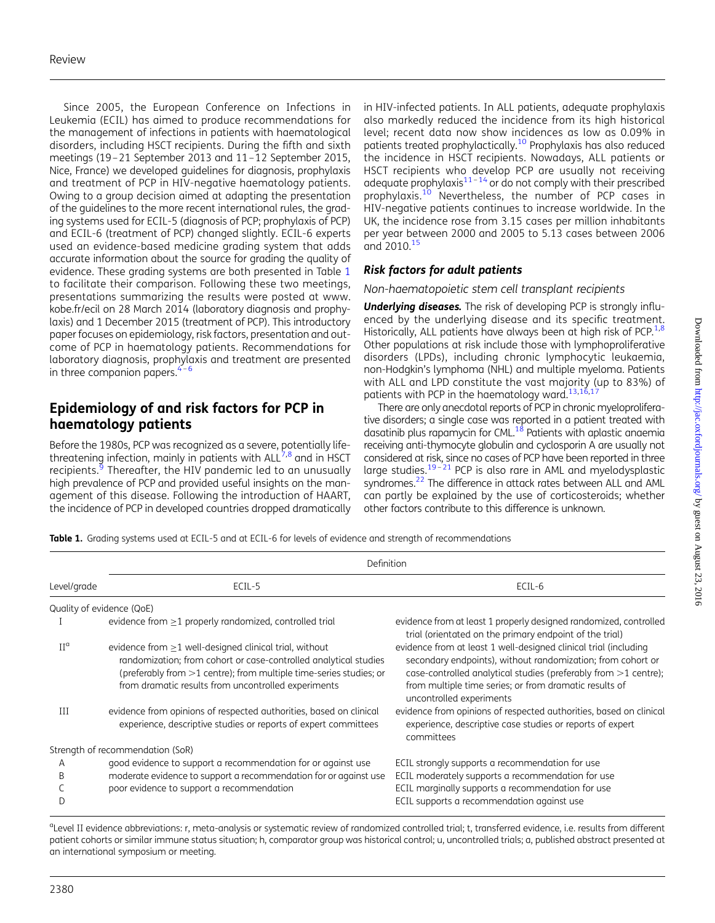Since 2005, the European Conference on Infections in Leukemia (ECIL) has aimed to produce recommendations for the management of infections in patients with haematological disorders, including HSCT recipients. During the fifth and sixth meetings (19–21 September 2013 and 11–12 September 2015, Nice, France) we developed guidelines for diagnosis, prophylaxis and treatment of PCP in HIV-negative haematology patients. Owing to a group decision aimed at adapting the presentation of the guidelines to the more recent international rules, the grading systems used for ECIL-5 (diagnosis of PCP; prophylaxis of PCP) and ECIL-6 (treatment of PCP) changed slightly. ECIL-6 experts used an evidence-based medicine grading system that adds accurate information about the source for grading the quality of evidence. These grading systems are both presented in Table 1 to facilitate their comparison. Following these two meetings, presentations summarizing the results were posted at [www.](http://www.kobe.fr/ecil) [kobe.fr/ecil](http://www.kobe.fr/ecil) on 28 March 2014 (laboratory diagnosis and prophylaxis) and 1 December 2015 (treatment of PCP). This introductory paper focuses on epidemiology, risk factors, presentation and outcome of PCP in haematology patients. Recommendations for laboratory diagnosis, prophylaxis and treatment are presented in three companion papers.  $4-6$  $4-6$  $4-6$ 

## Epidemiology of and risk factors for PCP in haematology patients

Before the 1980s, PCP was recognized as a severe, potentially lifethreatening infection, mainly in patients with  $ALL^{7,8}$  $ALL^{7,8}$  $ALL^{7,8}$  and in HSCT recipients.<sup>[9](#page-4-0)</sup> Thereafter, the HIV pandemic led to an unusually high prevalence of PCP and provided useful insights on the management of this disease. Following the introduction of HAART, the incidence of PCP in developed countries dropped dramatically

in HIV-infected patients. In ALL patients, adequate prophylaxis also markedly reduced the incidence from its high historical level; recent data now show incidences as low as 0.09% in patients treated prophylactically.<sup>10</sup> Prophylaxis has also reduced the incidence in HSCT recipients. Nowadays, ALL patients or HSCT recipients who develop PCP are usually not receiving adequate prophylaxis $11-14$  $11-14$  $11-14$  or do not comply with their prescribed prophylaxis.<sup>[10](#page-4-0)</sup> Nevertheless, the number of PCP cases in HIV-negative patients continues to increase worldwide. In the UK, the incidence rose from 3.15 cases per million inhabitants per year between 2000 and 2005 to 5.13 cases between 2006 and 2010.[15](#page-4-0)

### Risk factors for adult patients

Non-haematopoietic stem cell transplant recipients

**Underlying diseases.** The risk of developing PCP is strongly influenced by the underlying disease and its specific treatment. Historically, ALL patients have always been at high risk of PCP.<sup>1,[8](#page-4-0)</sup> Other populations at risk include those with lymphoproliferative disorders (LPDs), including chronic lymphocytic leukaemia, non-Hodgkin's lymphoma (NHL) and multiple myeloma. Patients with ALL and LPD constitute the vast majority (up to 83%) of patients with PCP in the haematology ward.<sup>13[,16](#page-5-0),1</sup>

There are only anecdotal reports of PCP in chronic myeloproliferative disorders; a single case was reported in a patient treated with dasatinib plus rapamycin for CML.<sup>18</sup> Patients with aplastic anaemia receiving anti-thymocyte globulin and cyclosporin A are usually not considered at risk, since no cases of PCP have been reported in three large studies.<sup>[19](#page-5-0)-[21](#page-5-0)</sup> PCP is also rare in AML and myelodysplastic syndromes.<sup>22</sup> The difference in attack rates between ALL and AML can partly be explained by the use of corticosteroids; whether other factors contribute to this difference is unknown.

Table 1. Grading systems used at ECIL-5 and at ECIL-6 for levels of evidence and strength of recommendations

|                           | Definition                                                                                                                                                                                                                                                    |                                                                                                                                                                                                                                                                                            |  |
|---------------------------|---------------------------------------------------------------------------------------------------------------------------------------------------------------------------------------------------------------------------------------------------------------|--------------------------------------------------------------------------------------------------------------------------------------------------------------------------------------------------------------------------------------------------------------------------------------------|--|
| Level/grade               | ECIL-5                                                                                                                                                                                                                                                        | ECIL-6                                                                                                                                                                                                                                                                                     |  |
| Quality of evidence (QoE) |                                                                                                                                                                                                                                                               |                                                                                                                                                                                                                                                                                            |  |
|                           | evidence from $\geq$ 1 properly randomized, controlled trial                                                                                                                                                                                                  | evidence from at least 1 properly designed randomized, controlled<br>trial (orientated on the primary endpoint of the trial)                                                                                                                                                               |  |
| $II^{\alpha}$             | evidence from $\geq$ 1 well-designed clinical trial, without<br>randomization; from cohort or case-controlled analytical studies<br>(preferably from >1 centre); from multiple time-series studies; or<br>from dramatic results from uncontrolled experiments | evidence from at least 1 well-designed clinical trial (including<br>secondary endpoints), without randomization; from cohort or<br>case-controlled analytical studies (preferably from $>1$ centre);<br>from multiple time series; or from dramatic results of<br>uncontrolled experiments |  |
| Ш                         | evidence from opinions of respected authorities, based on clinical<br>experience, descriptive studies or reports of expert committees                                                                                                                         | evidence from opinions of respected authorities, based on clinical<br>experience, descriptive case studies or reports of expert<br>committees                                                                                                                                              |  |
|                           | Strength of recommendation (SoR)                                                                                                                                                                                                                              |                                                                                                                                                                                                                                                                                            |  |
| A<br>B<br>D               | good evidence to support a recommendation for or against use<br>moderate evidence to support a recommendation for or against use<br>poor evidence to support a recommendation                                                                                 | ECIL strongly supports a recommendation for use<br>ECIL moderately supports a recommendation for use<br>ECIL marginally supports a recommendation for use<br>ECIL supports a recommendation against use                                                                                    |  |

<sup>a</sup>Level II evidence abbreviations: r, meta-analysis or systematic review of randomized controlled trial; t, transferred evidence, i.e. results from different patient cohorts or similar immune status situation; h, comparator group was historical control; u, uncontrolled trials; a, published abstract presented at an international symposium or meeting.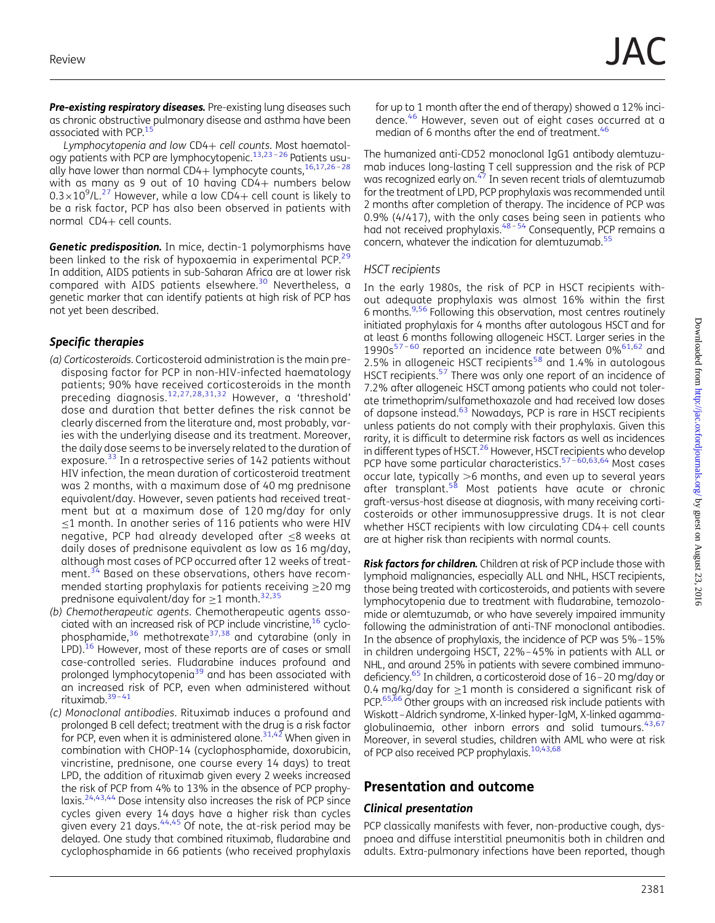Pre-existing respiratory diseases. Pre-existing lung diseases such as chronic obstructive pulmonary disease and asthma have been associated with PCP. $1$ <sup>1</sup>

Lymphocytopenia and low CD4+ cell counts. Most haematol-ogy patients with PCP are lymphocytopenic.<sup>[13](#page-4-0),[23](#page-5-0)-[26](#page-5-0)</sup> Patients usually have lower than normal CD4+ lymphocyte counts, $16,17,26-28$  $16,17,26-28$  $16,17,26-28$  $16,17,26-28$  $16,17,26-28$ with as many as 9 out of 10 having CD4+ numbers below  $0.3\times10^9$ /L.<sup>[27](#page-5-0)</sup> However, while a low CD4+ cell count is likely to be a risk factor, PCP has also been observed in patients with normal CD4+ cell counts.

Genetic predisposition. In mice, dectin-1 polymorphisms have been linked to the risk of hypoxaemia in experimental PCP.<sup>[29](#page-5-0)</sup> In addition, AIDS patients in sub-Saharan Africa are at lower risk compared with AIDS patients elsewhere.<sup>[30](#page-5-0)</sup> Nevertheless, a genetic marker that can identify patients at high risk of PCP has not yet been described.

#### Specific therapies

- (a) Corticosteroids. Corticosteroid administration is the main predisposing factor for PCP in non-HIV-infected haematology patients; 90% have received corticosteroids in the month preceding diagnosis.[12](#page-4-0),[27,28](#page-5-0),[31,32](#page-5-0) However, a 'threshold' dose and duration that better defines the risk cannot be clearly discerned from the literature and, most probably, varies with the underlying disease and its treatment. Moreover, the daily dose seems to be inversely related to the duration of exposure.<sup>[33](#page-5-0)</sup> In a retrospective series of 142 patients without HIV infection, the mean duration of corticosteroid treatment was 2 months, with a maximum dose of 40 mg prednisone equivalent/day. However, seven patients had received treatment but at a maximum dose of 120 mg/day for only ≤1 month. In another series of 116 patients who were HIV negative, PCP had already developed after ≤8 weeks at daily doses of prednisone equivalent as low as 16 mg/day, although most cases of PCP occurred after 12 weeks of treat-ment.<sup>[34](#page-5-0)</sup> Based on these observations, others have recommended starting prophylaxis for patients receiving ≥20 mg prednisone equivalent/day for  $\geq$ 1 month.<sup>[32](#page-5-0),[35](#page-5-0)</sup>
- (b) Chemotherapeutic agents. Chemotherapeutic agents associated with an increased risk of PCP include vincristine,<sup>16</sup> cyclophosphamide, $36$  methotrexate  $37,38$  and cytarabine (only in LPD).<sup>[16](#page-5-0)</sup> However, most of these reports are of cases or small case-controlled series. Fludarabine induces profound and prolonged lymphocytopenia<sup>[39](#page-5-0)</sup> and has been associated with an increased risk of PCP, even when administered without rituximab. $39-41$  $39-41$
- (c) Monoclonal antibodies. Rituximab induces a profound and prolonged B cell defect; treatment with the drug is a risk factor for PCP, even when it is administered alone. $31,42$  When given in combination with CHOP-14 (cyclophosphamide, doxorubicin, vincristine, prednisone, one course every 14 days) to treat LPD, the addition of rituximab given every 2 weeks increased the risk of PCP from 4% to 13% in the absence of PCP prophylaxis.[24](#page-5-0),[43,44](#page-5-0) Dose intensity also increases the risk of PCP since cycles given every 14 days have a higher risk than cycles given every 21 days.  $44,45$  Of note, the at-risk period may be delayed. One study that combined rituximab, fludarabine and cyclophosphamide in 66 patients (who received prophylaxis

for up to 1 month after the end of therapy) showed a 12% incidence.[46](#page-5-0) However, seven out of eight cases occurred at a median of 6 months after the end of treatment.<sup>[46](#page-5-0)</sup>

The humanized anti-CD52 monoclonal IgG1 antibody alemtuzumab induces long-lasting T cell suppression and the risk of PCP was recognized early on. $47$  In seven recent trials of alemtuzumab for the treatment of LPD, PCP prophylaxis was recommended until 2 months after completion of therapy. The incidence of PCP was 0.9% (4/417), with the only cases being seen in patients who had not received prophylaxis.<sup>[48](#page-5-0)-[54](#page-5-0)</sup> Consequently, PCP remains a concern, whatever the indication for alemtuzumab.<sup>[55](#page-6-0)</sup>

#### HSCT recipients

In the early 1980s, the risk of PCP in HSCT recipients without adequate prophylaxis was almost 16% within the first 6 months.<sup>[9,](#page-4-0)[56](#page-6-0)</sup> Following this observation, most centres routinely initiated prophylaxis for 4 months after autologous HSCT and for at least 6 months following allogeneic HSCT. Larger series in the 1990s $57 - 60$  $57 - 60$  $57 - 60$  reported an incidence rate between 0% $61,62$  and 2.5% in allogeneic HSCT recipients<sup>[58](#page-6-0)</sup> and 1.4% in autologous HSCT recipients.<sup>[57](#page-6-0)</sup> There was only one report of an incidence of 7.2% after allogeneic HSCT among patients who could not tolerate trimethoprim/sulfamethoxazole and had received low doses of dapsone instead.<sup>[63](#page-6-0)</sup> Nowadays, PCP is rare in HSCT recipients unless patients do not comply with their prophylaxis. Given this rarity, it is difficult to determine risk factors as well as incidences in different types of HSCT.<sup>[26](#page-5-0)</sup> However, HSCT recipients who develop PCP have some particular characteristics.<sup>[57](#page-6-0)-[60,63,64](#page-6-0)</sup> Most cases occur late, typically  $>6$  months, and even up to several years after transplant.<sup>[58](#page-6-0)</sup> Most patients have acute or chronic graft-versus-host disease at diagnosis, with many receiving corticosteroids or other immunosuppressive drugs. It is not clear whether HSCT recipients with low circulating CD4+ cell counts are at higher risk than recipients with normal counts.

Risk factors for children. Children at risk of PCP include those with lymphoid malignancies, especially ALL and NHL, HSCT recipients, those being treated with corticosteroids, and patients with severe lymphocytopenia due to treatment with fludarabine, temozolomide or alemtuzumab, or who have severely impaired immunity following the administration of anti-TNF monoclonal antibodies. In the absence of prophylaxis, the incidence of PCP was 5%–15% in children undergoing HSCT, 22%–45% in patients with ALL or NHL, and around 25% in patients with severe combined immunodeficiency.[65](#page-6-0) In children, a corticosteroid dose of 16–20 mg/day or 0.4 mg/kg/day for  $>1$  month is considered a significant risk of PCP.<sup>[65,66](#page-6-0)</sup> Other groups with an increased risk include patients with Wiskott–Aldrich syndrome, X-linked hyper-IgM, X-linked agammaglobulinaemia, other inborn errors and solid tumours.  $43,67$  $43,67$  $43,67$ Moreover, in several studies, children with AML who were at risk of PCP also received PCP prophylaxis.<sup>[10](#page-4-0),[43](#page-5-0)[,68](#page-6-0)</sup>

### Presentation and outcome

#### Clinical presentation

PCP classically manifests with fever, non-productive cough, dyspnoea and diffuse interstitial pneumonitis both in children and adults. Extra-pulmonary infections have been reported, though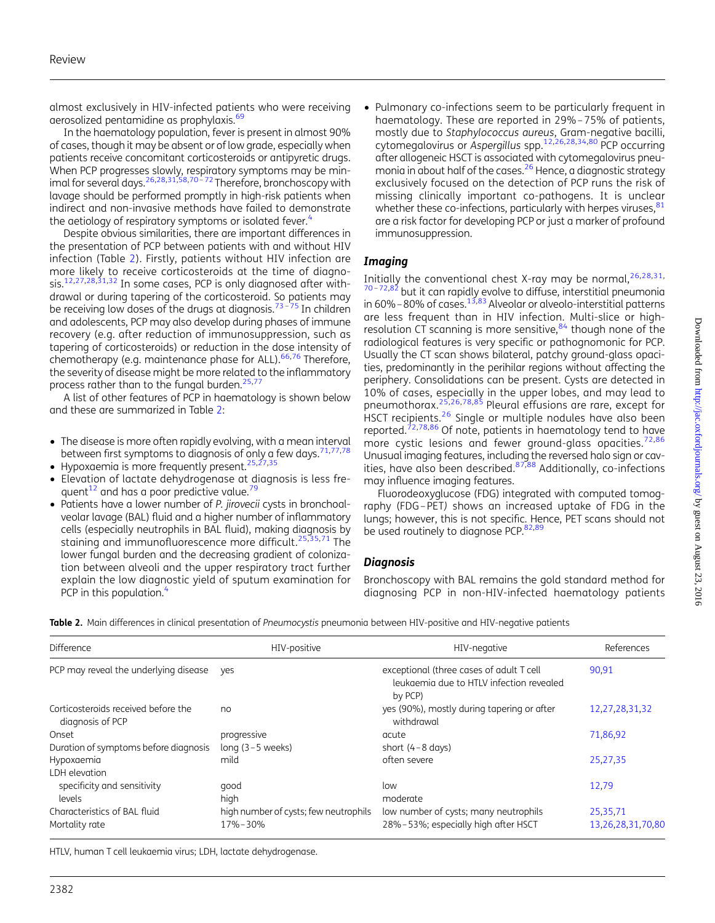almost exclusively in HIV-infected patients who were receiving aerosolized pentamidine as prophylaxis.<sup>[69](#page-6-0)</sup>

In the haematology population, fever is present in almost 90% of cases, though it may be absent or of low grade, especially when patients receive concomitant corticosteroids or antipyretic drugs. When PCP progresses slowly, respiratory symptoms may be min-imal for several days.<sup>[26,28,31](#page-5-0),[58,70](#page-6-0)-[72](#page-6-0)</sup> Therefore, bronchoscopy with lavage should be performed promptly in high-risk patients when indirect and non-invasive methods have failed to demonstrate the aetiology of respiratory symptoms or isolated fever.<sup>[4](#page-4-0)</sup>

Despite obvious similarities, there are important differences in the presentation of PCP between patients with and without HIV infection (Table 2). Firstly, patients without HIV infection are more likely to receive corticosteroids at the time of diagno-sis.<sup>[12](#page-4-0)[,27](#page-5-0),[28,31,32](#page-5-0)</sup> In some cases, PCP is only diagnosed after withdrawal or during tapering of the corticosteroid. So patients may be receiving low doses of the drugs at diagnosis.<sup>[73](#page-6-0)–[75](#page-6-0)</sup> In children and adolescents, PCP may also develop during phases of immune recovery (e.g. after reduction of immunosuppression, such as tapering of corticosteroids) or reduction in the dose intensity of chemotherapy (e.g. maintenance phase for ALL).<sup>[66](#page-6-0),[76](#page-6-0)</sup> Therefore, the severity of disease might be more related to the inflammatory process rather than to the fungal burden.<sup>[25,](#page-5-0)[77](#page-6-0)</sup>

A list of other features of PCP in haematology is shown below and these are summarized in Table 2:

- The disease is more often rapidly evolving, with a mean interval between first symptoms to diagnosis of only a few days.<sup>[71,77](#page-6-0),[78](#page-6-0)</sup>
- $\bullet$  Hypoxaemia is more frequently present.<sup>[25](#page-5-0),[27,35](#page-5-0)</sup>
- † Elevation of lactate dehydrogenase at diagnosis is less frequent $^{12}$  $^{12}$  $^{12}$  and has a poor predictive value. $^{79}$  $^{79}$  $^{79}$
- Patients have a lower number of P. jirovecii cysts in bronchoalveolar lavage (BAL) fluid and a higher number of inflammatory cells (especially neutrophils in BAL fluid), making diagnosis by staining and immunofluorescence more difficult.[25,35](#page-5-0),[71](#page-6-0) The lower fungal burden and the decreasing gradient of colonization between alveoli and the upper respiratory tract further explain the low diagnostic yield of sputum examination for PCP in this population.<sup>[4](#page-4-0)</sup>

† Pulmonary co-infections seem to be particularly frequent in haematology. These are reported in 29%–75% of patients, mostly due to Staphylococcus aureus, Gram-negative bacilli, cytomegalovirus or Aspergillus spp.[12,](#page-4-0)[26](#page-5-0),[28,34,](#page-5-0)[80](#page-6-0) PCP occurring after allogeneic HSCT is associated with cytomegalovirus pneumonia in about half of the cases[.26](#page-5-0) Hence, a diagnostic strategy exclusively focused on the detection of PCP runs the risk of missing clinically important co-pathogens. It is unclear whether these co-infections, particularly with herpes viruses,  $81$ are a risk factor for developing PCP or just a marker of profound immunosuppression.

#### **Imaging**

Initially the conventional chest X-ray may be normal,  $26,28,31$  $26,28,31$  $26,28,31$  $26,28,31$  $26,28,31$ , [70](#page-6-0)-[72,82](#page-6-0) but it can rapidly evolve to diffuse, interstitial pneumonia in 60%–80% of cases.  $^{13,83}$  $^{13,83}$  $^{13,83}$  Alveolar or alveolo-interstitial patterns are less frequent than in HIV infection. Multi-slice or highresolution CT scanning is more sensitive, $84$  though none of the radiological features is very specific or pathognomonic for PCP. Usually the CT scan shows bilateral, patchy ground-glass opacities, predominantly in the perihilar regions without affecting the periphery. Consolidations can be present. Cysts are detected in 10% of cases, especially in the upper lobes, and may lead to pneumothorax.[25](#page-5-0),[26](#page-5-0),[78,85](#page-6-0) Pleural effusions are rare, except for HSCT recipients.<sup>[26](#page-5-0)</sup> Single or multiple nodules have also been reported.<sup>[72,78,86](#page-6-0)</sup> Of note, patients in haematology tend to have more cystic lesions and fewer ground-glass opacities.<sup>[72,86](#page-6-0)</sup> Unusual imaging features, including the reversed halo sign or cavities, have also been described. $87,88$  Additionally, co-infections may influence imaging features.

Fluorodeoxyglucose (FDG) integrated with computed tomography (FDG –PET) shows an increased uptake of FDG in the lungs; however, this is not specific. Hence, PET scans should not be used routinely to diagnose PCP.<sup>82,89</sup>

#### **Diagnosis**

Bronchoscopy with BAL remains the gold standard method for diagnosing PCP in non-HIV-infected haematology patients

Table 2. Main differences in clinical presentation of Pneumocystis pneumonia between HIV-positive and HIV-negative patients

| Difference                                              | HIV-positive                          | HIV-negative                                                                                    | References        |
|---------------------------------------------------------|---------------------------------------|-------------------------------------------------------------------------------------------------|-------------------|
| PCP may reveal the underlying disease yes               |                                       | exceptional (three cases of adult T cell<br>leukgemig due to HTLV infection revealed<br>by PCP) | 90.91             |
| Corticosteroids received before the<br>diagnosis of PCP | no                                    | yes (90%), mostly during tapering or after<br>withdrawal                                        | 12,27,28,31,32    |
| Onset                                                   | progressive                           | acute                                                                                           | 71,86,92          |
| Duration of symptoms before diagnosis                   | long $(3-5$ weeks)                    | short $(4-8 \text{ days})$                                                                      |                   |
| Hypoxaemia<br>LDH elevation                             | mild                                  | often severe                                                                                    | 25,27,35          |
| specificity and sensitivity<br>levels                   | qood<br>high                          | low<br>moderate                                                                                 | 12,79             |
| Characteristics of BAL fluid                            | high number of cysts; few neutrophils | low number of cysts; many neutrophils                                                           | 25,35,71          |
| Mortality rate                                          | 17%-30%                               | 28%-53%; especially high after HSCT                                                             | 13,26,28,31,70,80 |

HTLV, human T cell leukaemia virus; LDH, lactate dehydrogenase.

Downloaded from http://jac.oxfordjournals.org/ by guest on August 23, 2016  $Downloaded from  $http://ja.c.oxfordjounnals.org/ by guest on August 23, 2016$$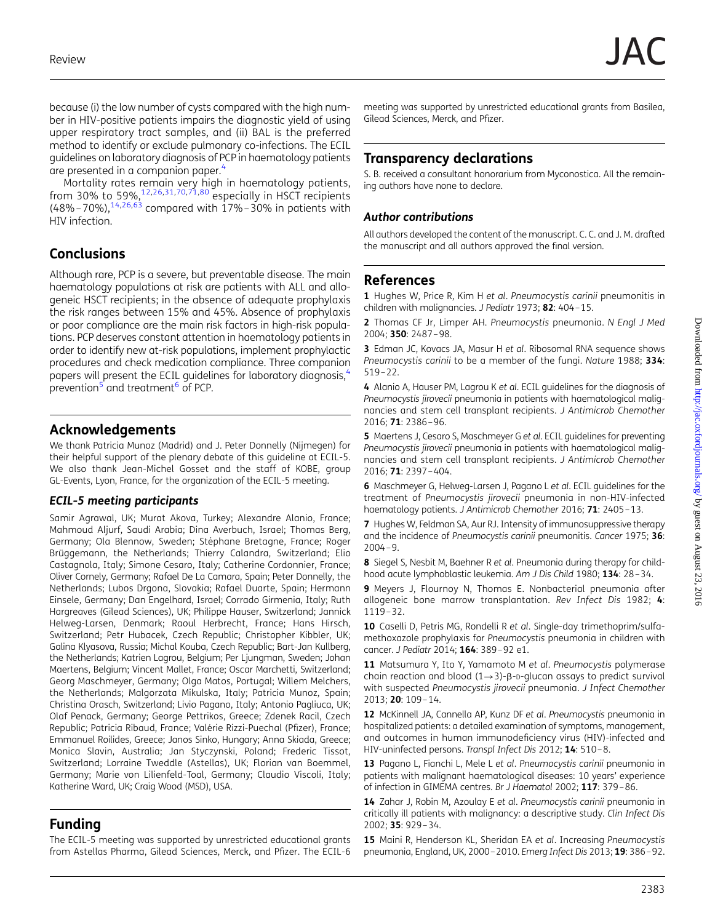<span id="page-4-0"></span>because (i) the low number of cysts compared with the high number in HIV-positive patients impairs the diagnostic yield of using upper respiratory tract samples, and (ii) BAL is the preferred method to identify or exclude pulmonary co-infections. The ECIL guidelines on laboratory diagnosis of PCP in haematology patients are presented in a companion paper.<sup>4</sup>

Mortality rates remain very high in haematology patients, from 30% to 59%,  $12,26,31,70,71,80$  $12,26,31,70,71,80$  $12,26,31,70,71,80$  $12,26,31,70,71,80$  $12,26,31,70,71,80$  $12,26,31,70,71,80$  $12,26,31,70,71,80$  $12,26,31,70,71,80$  especially in HSCT recipients  $(48\% - 70\%)$ ,  $^{14,26,63}$  $^{14,26,63}$  $^{14,26,63}$  $^{14,26,63}$  compared with 17%–30% in patients with HIV infection.

# **Conclusions**

Although rare, PCP is a severe, but preventable disease. The main haematology populations at risk are patients with ALL and allogeneic HSCT recipients; in the absence of adequate prophylaxis the risk ranges between 15% and 45%. Absence of prophylaxis or poor compliance are the main risk factors in high-risk populations. PCP deserves constant attention in haematology patients in order to identify new at-risk populations, implement prophylactic procedures and check medication compliance. Three companion papers will present the ECIL quidelines for laboratory diagnosis,<sup>4</sup> prevention<sup>5</sup> and treatment<sup>6</sup> of PCP.

### Acknowledgements

We thank Patricia Munoz (Madrid) and J. Peter Donnelly (Nijmegen) for their helpful support of the plenary debate of this guideline at ECIL-5. We also thank Jean-Michel Gosset and the staff of KOBE, group GL-Events, Lyon, France, for the organization of the ECIL-5 meeting.

#### ECIL-5 meeting participants

Samir Agrawal, UK; Murat Akova, Turkey; Alexandre Alanio, France; Mahmoud Aljurf, Saudi Arabia; Dina Averbuch, Israel; Thomas Berg, Germany; Ola Blennow, Sweden; Stéphane Bretagne, France; Roger Brüggemann, the Netherlands; Thierry Calandra, Switzerland; Elio Castagnola, Italy; Simone Cesaro, Italy; Catherine Cordonnier, France; Oliver Cornely, Germany; Rafael De La Camara, Spain; Peter Donnelly, the Netherlands; Lubos Drgona, Slovakia; Rafael Duarte, Spain; Hermann Einsele, Germany; Dan Engelhard, Israel; Corrado Girmenia, Italy; Ruth Hargreaves (Gilead Sciences), UK; Philippe Hauser, Switzerland; Jannick Helweg-Larsen, Denmark; Raoul Herbrecht, France; Hans Hirsch, Switzerland; Petr Hubacek, Czech Republic; Christopher Kibbler, UK; Galina Klyasova, Russia; Michal Kouba, Czech Republic; Bart-Jan Kullberg, the Netherlands; Katrien Lagrou, Belgium; Per Ljungman, Sweden; Johan Maertens, Belgium; Vincent Mallet, France; Oscar Marchetti, Switzerland; Georg Maschmeyer, Germany; Olga Matos, Portugal; Willem Melchers, the Netherlands; Malgorzata Mikulska, Italy; Patricia Munoz, Spain; Christina Orasch, Switzerland; Livio Pagano, Italy; Antonio Pagliuca, UK; Olaf Penack, Germany; George Pettrikos, Greece; Zdenek Racil, Czech Republic; Patricia Ribaud, France; Valérie Rizzi-Puechal (Pfizer), France; Emmanuel Roilides, Greece; Janos Sinko, Hungary; Anna Skiada, Greece; Monica Slavin, Australia; Jan Styczynski, Poland; Frederic Tissot, Switzerland; Lorraine Tweddle (Astellas), UK; Florian van Boemmel, Germany; Marie von Lilienfeld-Toal, Germany; Claudio Viscoli, Italy; Katherine Ward, UK; Craig Wood (MSD), USA.

### Funding

The ECIL-5 meeting was supported by unrestricted educational grants from Astellas Pharma, Gilead Sciences, Merck, and Pfizer. The ECIL-6

meeting was supported by unrestricted educational grants from Basilea, Gilead Sciences, Merck, and Pfizer.

# Transparency declarations

S. B. received a consultant honorarium from Myconostica. All the remaining authors have none to declare.

### Author contributions

All authors developed the content of the manuscript. C. C. and J. M. drafted the manuscript and all authors approved the final version.

### References

1 Hughes W, Price R, Kim H et al. Pneumocystis carinii pneumonitis in children with malignancies. J Pediatr 1973; 82: 404–15.

2 Thomas CF Jr, Limper AH. Pneumocystis pneumonia. N Engl J Med 2004; 350: 2487–98.

3 Edman JC, Kovacs JA, Masur H et al. Ribosomal RNA sequence shows Pneumocystis carinii to be a member of the fungi. Nature 1988; 334: 519–22.

4 Alanio A, Hauser PM, Lagrou K et al. ECIL guidelines for the diagnosis of Pneumocystis jirovecii pneumonia in patients with haematological malignancies and stem cell transplant recipients. J Antimicrob Chemother 2016; 71: 2386–96.

5 Maertens J, Cesaro S, Maschmeyer G et al. ECIL guidelines for preventing Pneumocystis jirovecii pneumonia in patients with haematological malignancies and stem cell transplant recipients. J Antimicrob Chemother 2016; 71: 2397–404.

6 Maschmeyer G, Helweg-Larsen J, Pagano L et al. ECIL guidelines for the treatment of Pneumocystis jirovecii pneumonia in non-HIV-infected haematology patients. J Antimicrob Chemother 2016; 71: 2405-13.

7 Hughes W, Feldman SA, Aur RJ. Intensity of immunosuppressive therapy and the incidence of Pneumocystis carinii pneumonitis. Cancer 1975; 36: 2004–9.

8 Siegel S, Nesbit M, Baehner R et al. Pneumonia during therapy for childhood acute lymphoblastic leukemia. Am J Dis Child 1980; 134: 28-34.

9 Meyers J, Flournoy N, Thomas E. Nonbacterial pneumonia after allogeneic bone marrow transplantation. Rev Infect Dis 1982; 4: 1119–32.

10 Caselli D, Petris MG, Rondelli R et al. Single-day trimethoprim/sulfamethoxazole prophylaxis for Pneumocystis pneumonia in children with cancer. J Pediatr 2014; 164: 389–92 e1.

11 Matsumura Y, Ito Y, Yamamoto M et al. Pneumocystis polymerase chain reaction and blood  $(1\rightarrow 3)$ -B-D-glucan assays to predict survival with suspected Pneumocystis jirovecii pneumonia. J Infect Chemother 2013; 20: 109–14.

12 McKinnell JA, Cannella AP, Kunz DF et al. Pneumocystis pneumonia in hospitalized patients: a detailed examination of symptoms, management, and outcomes in human immunodeficiency virus (HIV)-infected and HIV-uninfected persons. Transpl Infect Dis 2012; 14: 510-8.

13 Pagano L, Fianchi L, Mele L et al. Pneumocystis carinii pneumonia in patients with malignant haematological diseases: 10 years' experience of infection in GIMEMA centres. Br J Haematol 2002; 117: 379–86.

14 Zahar J, Robin M, Azoulay E et al. Pneumocystis carinii pneumonia in critically ill patients with malignancy: a descriptive study. Clin Infect Dis 2002; 35: 929–34.

15 Maini R, Henderson KL, Sheridan EA et al. Increasing Pneumocystis pneumonia, England, UK, 2000–2010. Emerg Infect Dis 2013; 19: 386–92.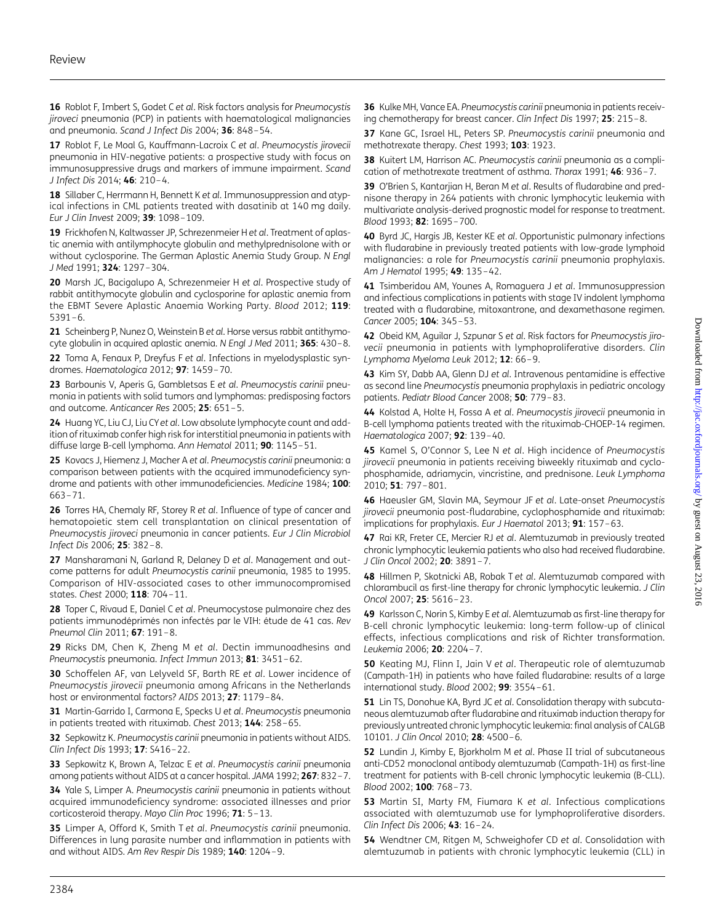<span id="page-5-0"></span>16 Roblot F, Imbert S, Godet C et al. Risk factors analysis for Pneumocystis jiroveci pneumonia (PCP) in patients with haematological malignancies and pneumonia. Scand J Infect Dis 2004; 36: 848–54.

17 Roblot F, Le Moal G, Kauffmann-Lacroix C et al. Pneumocystis jirovecii pneumonia in HIV-negative patients: a prospective study with focus on immunosuppressive drugs and markers of immune impairment. Scand J Infect Dis 2014; 46: 210–4.

18 Sillaber C, Herrmann H, Bennett K et al. Immunosuppression and atypical infections in CML patients treated with dasatinib at 140 mg daily. Eur J Clin Invest 2009; 39: 1098–109.

19 Frickhofen N, Kaltwasser JP, Schrezenmeier H et al. Treatment of aplastic anemia with antilymphocyte globulin and methylprednisolone with or without cyclosporine. The German Aplastic Anemia Study Group. N Engl J Med 1991; 324: 1297–304.

20 Marsh JC, Bacigalupo A, Schrezenmeier H et al. Prospective study of rabbit antithymocyte globulin and cyclosporine for aplastic anemia from the EBMT Severe Aplastic Anaemia Working Party. Blood 2012; 119: 5391–6.

21 Scheinberg P, Nunez O, Weinstein B et al. Horse versus rabbit antithymocyte globulin in acquired aplastic anemia. N Engl J Med 2011; 365: 430-8.

22 Toma A, Fenaux P, Dreyfus F et al. Infections in myelodysplastic syndromes. Haematologica 2012; 97: 1459–70.

23 Barbounis V, Aperis G, Gambletsas E et al. Pneumocystis carinii pneumonia in patients with solid tumors and lymphomas: predisposing factors and outcome. Anticancer Res 2005; 25: 651–5.

24 Huang YC, Liu CJ, Liu CY et al. Low absolute lymphocyte count and addition of rituximab confer high risk for interstitial pneumonia in patients with diffuse large B-cell lymphoma. Ann Hematol 2011; 90: 1145-51.

25 Kovacs J, Hiemenz J, Macher A et al. Pneumocystis carinii pneumonia: a comparison between patients with the acquired immunodeficiency syndrome and patients with other immunodeficiencies. Medicine 1984; 100: 663–71.

26 Torres HA, Chemaly RF, Storey R et al. Influence of type of cancer and hematopoietic stem cell transplantation on clinical presentation of Pneumocystis jiroveci pneumonia in cancer patients. Eur J Clin Microbiol Infect Dis 2006; 25: 382–8.

27 Mansharamani N, Garland R, Delaney D et al. Management and outcome patterns for adult Pneumocystis carinii pneumonia, 1985 to 1995. Comparison of HIV-associated cases to other immunocompromised states. Chest 2000; 118: 704–11.

28 Toper C, Rivaud E, Daniel C et al. Pneumocystose pulmonaire chez des patients immunodéprimés non infectés par le VIH: étude de 41 cas. Rev Pneumol Clin 2011; 67: 191–8.

29 Ricks DM, Chen K, Zheng M et al. Dectin immunoadhesins and Pneumocystis pneumonia. Infect Immun 2013; 81: 3451–62.

30 Schoffelen AF, van Lelyveld SF, Barth RE et al. Lower incidence of Pneumocystis jirovecii pneumonia among Africans in the Netherlands host or environmental factors? AIDS 2013; 27: 1179–84.

31 Martin-Garrido I, Carmona E, Specks U et al. Pneumocystis pneumonia in patients treated with rituximab. Chest 2013; 144: 258–65.

32 Sepkowitz K. Pneumocystis carinii pneumonia in patients without AIDS. Clin Infect Dis 1993; 17: S416–22.

33 Sepkowitz K, Brown A, Telzac E et al. Pneumocystis carinii pneumonia among patients without AIDS at a cancer hospital. JAMA 1992; 267: 832–7.

34 Yale S, Limper A. Pneumocystis carinii pneumonia in patients without acquired immunodeficiency syndrome: associated illnesses and prior corticosteroid therapy. Mayo Clin Proc 1996; 71: 5–13.

35 Limper A, Offord K, Smith T et al. Pneumocystis carinii pneumonia. Differences in lung parasite number and inflammation in patients with and without AIDS. Am Rev Respir Dis 1989; 140: 1204–9.

36 Kulke MH, Vance EA. Pneumocystis carinii pneumonia in patients receiving chemotherapy for breast cancer. Clin Infect Dis 1997; 25: 215–8.

37 Kane GC, Israel HL, Peters SP. Pneumocystis carinii pneumonia and methotrexate therapy. Chest 1993; 103: 1923.

38 Kuitert LM, Harrison AC. Pneumocystis carinii pneumonia as a complication of methotrexate treatment of asthma. Thorax 1991; 46: 936–7.

39 O'Brien S, Kantarjian H, Beran M et al. Results of fludarabine and prednisone therapy in 264 patients with chronic lymphocytic leukemia with multivariate analysis-derived prognostic model for response to treatment. Blood 1993; 82: 1695–700.

40 Byrd JC, Hargis JB, Kester KE et al. Opportunistic pulmonary infections with fludarabine in previously treated patients with low-grade lymphoid malignancies: a role for Pneumocystis carinii pneumonia prophylaxis. Am J Hematol 1995; 49: 135-42.

41 Tsimberidou AM, Younes A, Romaguera J et al. Immunosuppression and infectious complications in patients with stage IV indolent lymphoma treated with a fludarabine, mitoxantrone, and dexamethasone regimen. Cancer 2005; 104: 345-53.

42 Obeid KM, Aguilar J, Szpunar S et al. Risk factors for Pneumocystis jirovecii pneumonia in patients with lymphoproliferative disorders. Clin Lymphoma Myeloma Leuk 2012; 12: 66-9.

43 Kim SY, Dabb AA, Glenn DJ et al. Intravenous pentamidine is effective as second line Pneumocystis pneumonia prophylaxis in pediatric oncology patients. Pediatr Blood Cancer 2008; 50: 779–83.

44 Kolstad A, Holte H, Fossa A et al. Pneumocystis jirovecii pneumonia in B-cell lymphoma patients treated with the rituximab-CHOEP-14 regimen. Haematologica 2007; 92: 139–40.

45 Kamel S, O'Connor S, Lee N et al. High incidence of Pneumocystis jirovecii pneumonia in patients receiving biweekly rituximab and cyclophosphamide, adriamycin, vincristine, and prednisone. Leuk Lymphoma 2010; 51: 797–801.

46 Haeusler GM, Slavin MA, Seymour JF et al. Late-onset Pneumocystis jirovecii pneumonia post-fludarabine, cyclophosphamide and rituximab: implications for prophylaxis. Eur J Haematol 2013; 91: 157-63.

47 Rai KR, Freter CE, Mercier RJ et al. Alemtuzumab in previously treated chronic lymphocytic leukemia patients who also had received fludarabine. J Clin Oncol 2002; 20: 3891-7.

48 Hillmen P, Skotnicki AB, Robak T et al. Alemtuzumab compared with chlorambucil as first-line therapy for chronic lymphocytic leukemia. J Clin Oncol 2007; 25: 5616–23.

49 Karlsson C, Norin S, Kimby E et al. Alemtuzumab as first-line therapy for B-cell chronic lymphocytic leukemia: long-term follow-up of clinical effects, infectious complications and risk of Richter transformation. Leukemia 2006; 20: 2204–7.

50 Keating MJ, Flinn I, Jain V et al. Therapeutic role of alemtuzumab (Campath-1H) in patients who have failed fludarabine: results of a large international study. Blood 2002; 99: 3554–61.

51 Lin TS, Donohue KA, Byrd JC et al. Consolidation therapy with subcutaneous alemtuzumab after fludarabine and rituximab induction therapy for previously untreated chronic lymphocytic leukemia: final analysis of CALGB 10101. J Clin Oncol 2010; 28: 4500–6.

52 Lundin J, Kimby E, Bjorkholm M et al. Phase II trial of subcutaneous anti-CD52 monoclonal antibody alemtuzumab (Campath-1H) as first-line treatment for patients with B-cell chronic lymphocytic leukemia (B-CLL). Blood 2002; 100: 768–73.

53 Martin SI, Marty FM, Fiumara K et al. Infectious complications associated with alemtuzumab use for lymphoproliferative disorders. Clin Infect Dis 2006; 43: 16–24.

54 Wendtner CM, Ritgen M, Schweighofer CD et al. Consolidation with alemtuzumab in patients with chronic lymphocytic leukemia (CLL) in